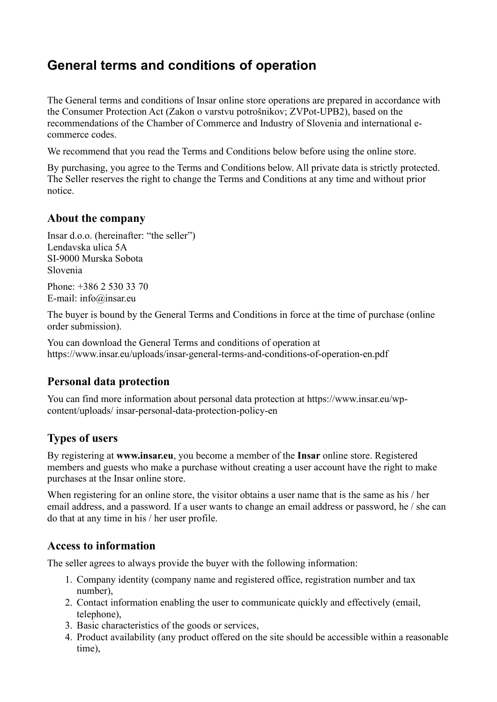# **General terms and conditions of operation**

The General terms and conditions of Insar online store operations are prepared in accordance with the Consumer Protection Act (Zakon o varstvu potrošnikov; ZVPot-UPB2), based on the recommendations of the Chamber of Commerce and Industry of Slovenia and international ecommerce codes.

We recommend that you read the Terms and Conditions below before using the online store.

By purchasing, you agree to the Terms and Conditions below. All private data is strictly protected. The Seller reserves the right to change the Terms and Conditions at any time and without prior notice.

#### **About the company**

Insar d.o.o. (hereinafter: "the seller") Lendavska ulica 5A SI-9000 Murska Sobota Slovenia

Phone: +386 2 530 33 70 E-mail: info@insar.eu

The buyer is bound by the General Terms and Conditions in force at the time of purchase (online order submission).

You can download the General Terms and conditions of operation at https://www.insar.eu/uploads/insar-general-terms-and-conditions-of-operation-en.pdf

### **Personal data protection**

You can find more information about personal data protection at https://www.insar.eu/wpcontent/uploads/ insar-personal-data-protection-policy-en

# **Types of users**

By registering at **www.insar.eu**, you become a member of the **Insar** online store. Registered members and guests who make a purchase without creating a user account have the right to make purchases at the Insar online store.

When registering for an online store, the visitor obtains a user name that is the same as his / her email address, and a password. If a user wants to change an email address or password, he / she can do that at any time in his / her user profile.

#### **Access to information**

The seller agrees to always provide the buyer with the following information:

- 1. Company identity (company name and registered office, registration number and tax number),
- 2. Contact information enabling the user to communicate quickly and effectively (email, telephone),
- 3. Basic characteristics of the goods or services,
- 4. Product availability (any product offered on the site should be accessible within a reasonable time),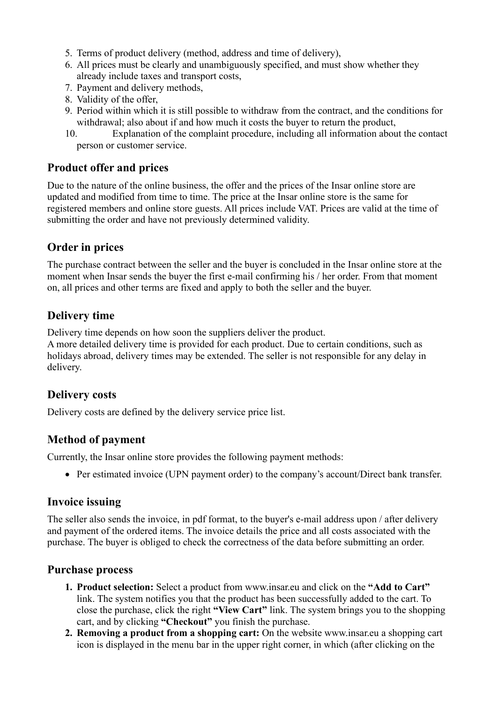- 5. Terms of product delivery (method, address and time of delivery),
- 6. All prices must be clearly and unambiguously specified, and must show whether they already include taxes and transport costs,
- 7. Payment and delivery methods,
- 8. Validity of the offer,
- 9. Period within which it is still possible to withdraw from the contract, and the conditions for withdrawal; also about if and how much it costs the buyer to return the product,
- 10. Explanation of the complaint procedure, including all information about the contact person or customer service.

#### **Product offer and prices**

Due to the nature of the online business, the offer and the prices of the Insar online store are updated and modified from time to time. The price at the Insar online store is the same for registered members and online store guests. All prices include VAT. Prices are valid at the time of submitting the order and have not previously determined validity.

### **Order in prices**

The purchase contract between the seller and the buyer is concluded in the Insar online store at the moment when Insar sends the buyer the first e-mail confirming his / her order. From that moment on, all prices and other terms are fixed and apply to both the seller and the buyer.

#### **Delivery time**

Delivery time depends on how soon the suppliers deliver the product.

A more detailed delivery time is provided for each product. Due to certain conditions, such as holidays abroad, delivery times may be extended. The seller is not responsible for any delay in delivery.

#### **Delivery costs**

Delivery costs are defined by the delivery service price list.

### **Method of payment**

Currently, the Insar online store provides the following payment methods:

• Per estimated invoice (UPN payment order) to the company's account/Direct bank transfer.

#### **Invoice issuing**

The seller also sends the invoice, in pdf format, to the buyer's e-mail address upon / after delivery and payment of the ordered items. The invoice details the price and all costs associated with the purchase. The buyer is obliged to check the correctness of the data before submitting an order.

#### **Purchase process**

- **1. Product selection:** Select a product from www.insar.eu and click on the **"Add to Cart"** link. The system notifies you that the product has been successfully added to the cart. To close the purchase, click the right **"View Cart"** link. The system brings you to the shopping cart, and by clicking **"Checkout"** you finish the purchase.
- **2. Removing a product from a shopping cart:** On the website www.insar.eu a shopping cart icon is displayed in the menu bar in the upper right corner, in which (after clicking on the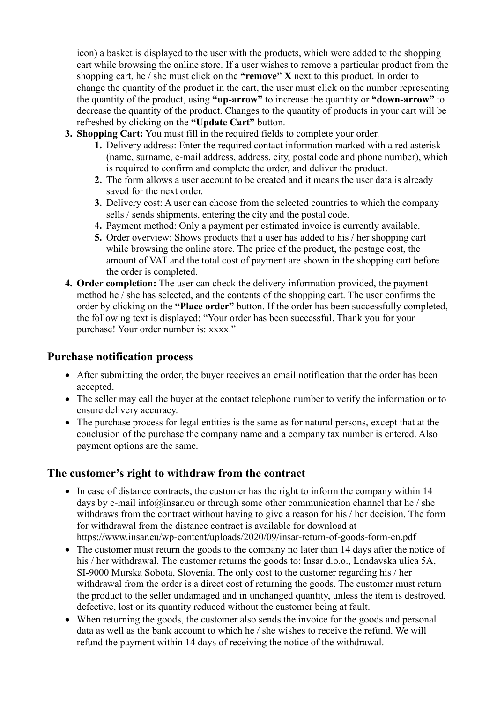icon) a basket is displayed to the user with the products, which were added to the shopping cart while browsing the online store. If a user wishes to remove a particular product from the shopping cart, he / she must click on the **"remove" X** next to this product. In order to change the quantity of the product in the cart, the user must click on the number representing the quantity of the product, using **"up-arrow"** to increase the quantity or **"down-arrow"** to decrease the quantity of the product. Changes to the quantity of products in your cart will be refreshed by clicking on the **"Update Cart"** button.

- **3. Shopping Cart:** You must fill in the required fields to complete your order.
	- **1.** Delivery address: Enter the required contact information marked with a red asterisk (name, surname, e-mail address, address, city, postal code and phone number), which is required to confirm and complete the order, and deliver the product.
	- **2.** The form allows a user account to be created and it means the user data is already saved for the next order.
	- **3.** Delivery cost: A user can choose from the selected countries to which the company sells / sends shipments, entering the city and the postal code.
	- **4.** Payment method: Only a payment per estimated invoice is currently available.
	- **5.** Order overview: Shows products that a user has added to his / her shopping cart while browsing the online store. The price of the product, the postage cost, the amount of VAT and the total cost of payment are shown in the shopping cart before the order is completed.
- **4. Order completion:** The user can check the delivery information provided, the payment method he / she has selected, and the contents of the shopping cart. The user confirms the order by clicking on the **"Place order"** button. If the order has been successfully completed, the following text is displayed: "Your order has been successful. Thank you for your purchase! Your order number is: xxxx."

#### **Purchase notification process**

- After submitting the order, the buyer receives an email notification that the order has been accepted.
- The seller may call the buyer at the contact telephone number to verify the information or to ensure delivery accuracy.
- The purchase process for legal entities is the same as for natural persons, except that at the conclusion of the purchase the company name and a company tax number is entered. Also payment options are the same.

### **The customer's right to withdraw from the contract**

- In case of distance contracts, the customer has the right to inform the company within 14 days by e-mail info@insar.eu or through some other communication channel that he / she withdraws from the contract without having to give a reason for his / her decision. The form for withdrawal from the distance contract is available for download at https://www.insar.eu/wp-content/uploads/2020/09/insar-return-of-goods-form-en.pdf
- The customer must return the goods to the company no later than 14 days after the notice of his / her withdrawal. The customer returns the goods to: Insar d.o.o., Lendavska ulica 5A, SI-9000 Murska Sobota, Slovenia. The only cost to the customer regarding his / her withdrawal from the order is a direct cost of returning the goods. The customer must return the product to the seller undamaged and in unchanged quantity, unless the item is destroyed, defective, lost or its quantity reduced without the customer being at fault.
- When returning the goods, the customer also sends the invoice for the goods and personal data as well as the bank account to which he / she wishes to receive the refund. We will refund the payment within 14 days of receiving the notice of the withdrawal.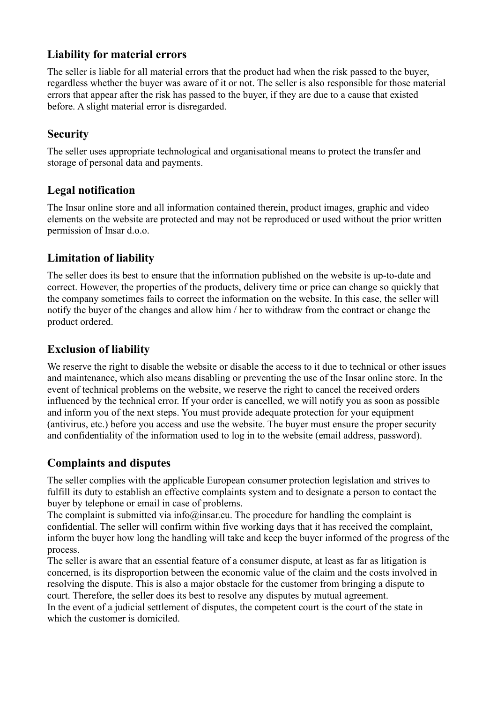# **Liability for material errors**

The seller is liable for all material errors that the product had when the risk passed to the buyer, regardless whether the buyer was aware of it or not. The seller is also responsible for those material errors that appear after the risk has passed to the buyer, if they are due to a cause that existed before. A slight material error is disregarded.

# **Security**

The seller uses appropriate technological and organisational means to protect the transfer and storage of personal data and payments.

# **Legal notification**

The Insar online store and all information contained therein, product images, graphic and video elements on the website are protected and may not be reproduced or used without the prior written permission of Insar d.o.o.

# **Limitation of liability**

The seller does its best to ensure that the information published on the website is up-to-date and correct. However, the properties of the products, delivery time or price can change so quickly that the company sometimes fails to correct the information on the website. In this case, the seller will notify the buyer of the changes and allow him / her to withdraw from the contract or change the product ordered.

# **Exclusion of liability**

We reserve the right to disable the website or disable the access to it due to technical or other issues and maintenance, which also means disabling or preventing the use of the Insar online store. In the event of technical problems on the website, we reserve the right to cancel the received orders influenced by the technical error. If your order is cancelled, we will notify you as soon as possible and inform you of the next steps. You must provide adequate protection for your equipment (antivirus, etc.) before you access and use the website. The buyer must ensure the proper security and confidentiality of the information used to log in to the website (email address, password).

# **Complaints and disputes**

The seller complies with the applicable European consumer protection legislation and strives to fulfill its duty to establish an effective complaints system and to designate a person to contact the buyer by telephone or email in case of problems.

The complaint is submitted via info@insar.eu. The procedure for handling the complaint is confidential. The seller will confirm within five working days that it has received the complaint, inform the buyer how long the handling will take and keep the buyer informed of the progress of the process.

The seller is aware that an essential feature of a consumer dispute, at least as far as litigation is concerned, is its disproportion between the economic value of the claim and the costs involved in resolving the dispute. This is also a major obstacle for the customer from bringing a dispute to court. Therefore, the seller does its best to resolve any disputes by mutual agreement. In the event of a judicial settlement of disputes, the competent court is the court of the state in which the customer is domiciled.